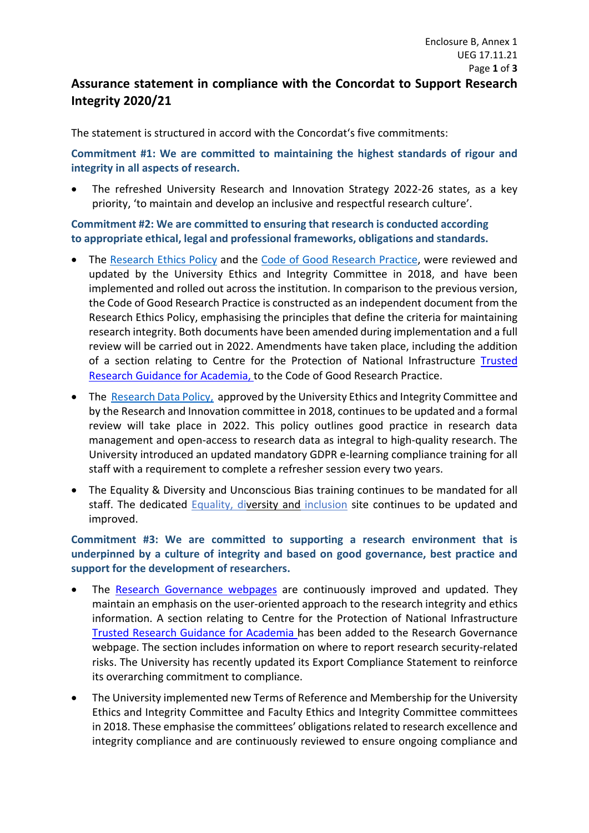## **Assurance statement in compliance with the Concordat to Support Research Integrity 2020/21**

The statement is structured in accord with the Concordat's five commitments:

**Commitment #1: We are committed to maintaining the highest standards of rigour and integrity in all aspects of research.**

The refreshed University Research and Innovation Strategy 2022-26 states, as a key priority, 'to maintain and develop an inclusive and respectful research culture'.

**Commitment #2: We are committed to ensuring that research is conducted according to appropriate ethical, legal and professional frameworks, obligations and standards.**

- The [Research](https://www.plymouth.ac.uk/uploads/production/document/path/12/12337/General_Research_Ethics_Policy__final_draft_V1.0_.pdf) [Ethics Policy](https://www.plymouth.ac.uk/uploads/production/document/path/12/12337/General_Research_Ethics_Policy__final_draft_V1.0_.pdf) and the [Code of Good Research Practice,](https://www.plymouth.ac.uk/uploads/production/document/path/12/12338/Code_of_Good_Research_Practice__final_draft_V1.0_.pdf) were reviewed and updated by the University Ethics and Integrity Committee in 2018, and have been implemented and rolled out across the institution. In comparison to the previous version, the Code of Good Research Practice is constructed as an independent document from the Research Ethics Policy, emphasising the principles that define the criteria for maintaining research integrity. Both documents have been amended during implementation and a full review will be carried out in 2022. Amendments have taken place, including the addition of a section relating to Centre for the Protection of National Infrastructure [Trusted](https://www.cpni.gov.uk/trusted-research-guidance-academia)  [Research Guidance for Academia,](https://www.cpni.gov.uk/trusted-research-guidance-academia) to the Code of Good Research Practice.
- The [Research Data Policy,](https://www.plymouth.ac.uk/uploads/production/document/path/6/6913/Research_Data_Policy.pdf) approved by the University Ethics and Integrity Committee and by the Research and Innovation committee in 2018, continues to be updated and a formal review will take place in 2022. This policy outlines good practice in research data management and open-access to research data as integral to high-quality research. The University introduced an updated mandatory GDPR e-learning compliance training for all staff with a requirement to complete a refresher session every two years.
- The Equality & Diversity and Unconscious Bias training continues to be mandated for all staff. The dedicated [Equality, diversity and](https://www.plymouth.ac.uk/about-us/university-structure/service-areas/equality-diversity-and-inclusion) inclusion site continues to be updated and improved.

**Commitment #3: We are committed to supporting a research environment that is underpinned by a culture of integrity and based on good governance, best practice and support for the development of researchers.**

- The [Research Governance webpages](https://www.plymouth.ac.uk/research/governance/research-ethics-policy) are continuously improved and updated. They maintain an emphasis on the user-oriented approach to the research integrity and ethics information. A section relating to Centre for the Protection of National Infrastructure [Trusted Research Guidance for Academia h](https://www.cpni.gov.uk/trusted-research-guidance-academia)as been added to the Research Governance webpage. The section includes information on where to report research security-related risks. The University has recently updated its Export Compliance Statement to reinforce its overarching commitment to compliance.
- The University implemented new Terms of Reference and Membership for the University Ethics and Integrity Committee and Faculty Ethics and Integrity Committee committees in 2018. These emphasise the committees' obligations related to research excellence and integrity compliance and are continuously reviewed to ensure ongoing compliance and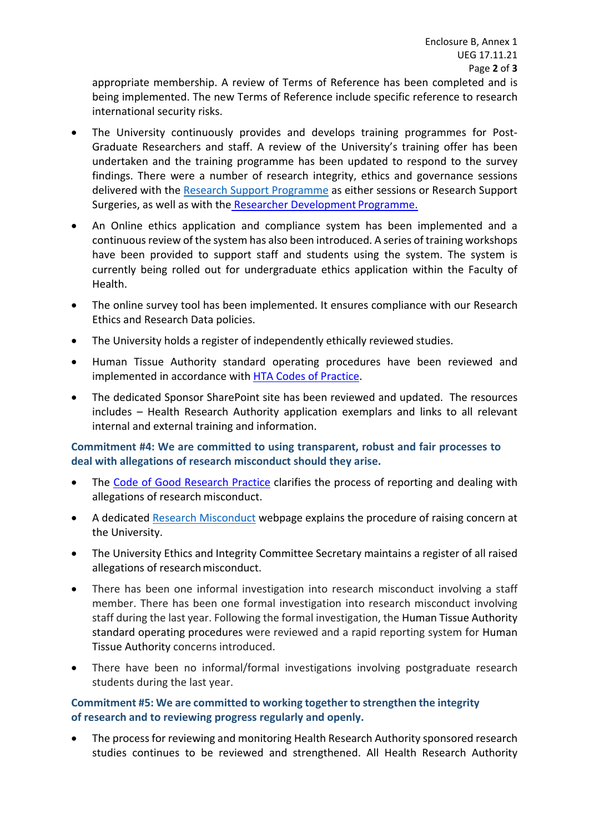appropriate membership. A review of Terms of Reference has been completed and is being implemented. The new Terms of Reference include specific reference to research international security risks.

- The University continuously provides and develops training programmes for Post-Graduate Researchers and staff. A review of the University's training offer has been undertaken and the training programme has been updated to respond to the survey findings. There were a number of research integrity, ethics and governance sessions delivered with the [Research Support Programme](https://www.plymouth.ac.uk/research/support/funding/r-and-i-research-training) as either sessions or Research Support Surgeries, as well as with the [Researcher Development](https://www.plymouth.ac.uk/student-life/your-studies/research-degrees/doctoral-college/researcher-development-programme) Programme.
- An Online ethics application and compliance system has been implemented and a continuous review of the system has also been introduced. A series of training workshops have been provided to support staff and students using the system. The system is currently being rolled out for undergraduate ethics application within the Faculty of Health.
- The online survey tool has been implemented. It ensures compliance with our Research Ethics and Research Data policies.
- The University holds a register of independently ethically reviewed studies.
- Human Tissue Authority standard operating procedures have been reviewed and implemented in accordance with [HTA Codes of Practice.](https://www.hta.gov.uk/guidance-professionals/codes-practice)
- The dedicated Sponsor SharePoint site has been reviewed and updated. The resources includes – Health Research Authority application exemplars and links to all relevant internal and external training and information.

## **Commitment #4: We are committed to using transparent, robust and fair processes to deal with allegations of research misconduct should they arise.**

- The [Code of Good Research Practice](https://www.plymouth.ac.uk/uploads/production/document/path/12/12338/Code_of_Good_Research_Practice__final_draft_V1.0_.pdf) clarifies the process of reporting and dealing with allegations of research misconduct.
- A dedicated [Research Misconduct](https://www.plymouth.ac.uk/research/governance/research-misconduct) webpage explains the procedure of raising concern at the University.
- The University Ethics and Integrity Committee Secretary maintains a register of all raised allegations of research misconduct.
- There has been one informal investigation into research misconduct involving a staff member. There has been one formal investigation into research misconduct involving staff during the last year. Following the formal investigation, the Human Tissue Authority standard operating procedures were reviewed and a rapid reporting system for Human Tissue Authority concerns introduced.
- There have been no informal/formal investigations involving postgraduate research students during the last year.

## **Commitment #5: We are committed to working together to strengthen the integrity of research and to reviewing progress regularly and openly.**

• The process for reviewing and monitoring Health Research Authority sponsored research studies continues to be reviewed and strengthened. All Health Research Authority